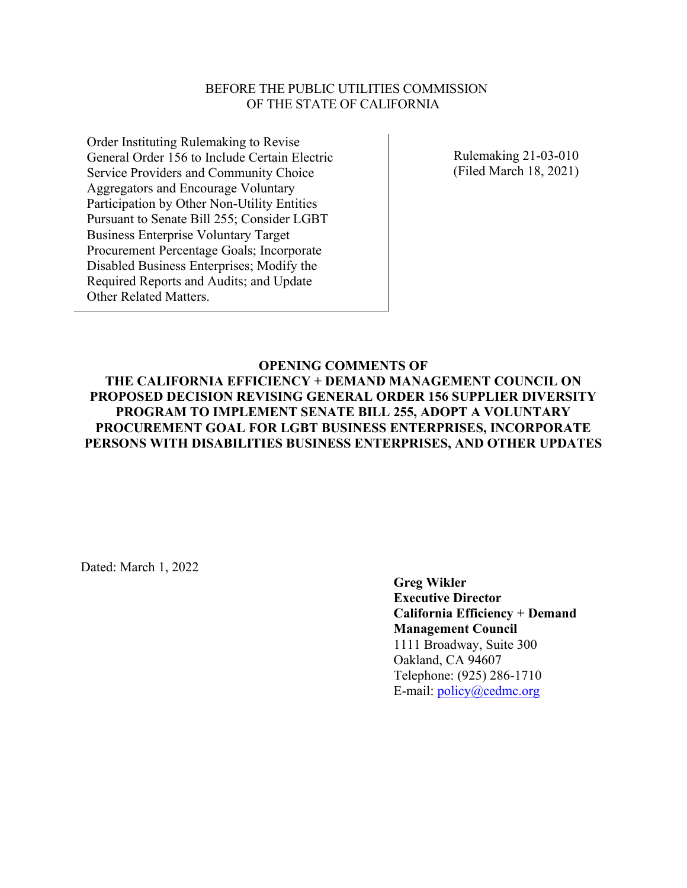#### BEFORE THE PUBLIC UTILITIES COMMISSION OF THE STATE OF CALIFORNIA

Order Instituting Rulemaking to Revise General Order 156 to Include Certain Electric Service Providers and Community Choice Aggregators and Encourage Voluntary Participation by Other Non-Utility Entities Pursuant to Senate Bill 255; Consider LGBT Business Enterprise Voluntary Target Procurement Percentage Goals; Incorporate Disabled Business Enterprises; Modify the Required Reports and Audits; and Update Other Related Matters.

Rulemaking 21-03-010 (Filed March 18, 2021)

# **OPENING COMMENTS OF**

**THE CALIFORNIA EFFICIENCY + DEMAND MANAGEMENT COUNCIL ON PROPOSED DECISION REVISING GENERAL ORDER 156 SUPPLIER DIVERSITY PROGRAM TO IMPLEMENT SENATE BILL 255, ADOPT A VOLUNTARY PROCUREMENT GOAL FOR LGBT BUSINESS ENTERPRISES, INCORPORATE PERSONS WITH DISABILITIES BUSINESS ENTERPRISES, AND OTHER UPDATES**

Dated: March 1, 2022

**Greg Wikler Executive Director California Efficiency + Demand Management Council** 1111 Broadway, Suite 300 Oakland, CA 94607 Telephone: (925) 286-1710 E-mail: [policy@cedmc.org](mailto:policy@cedmc.org)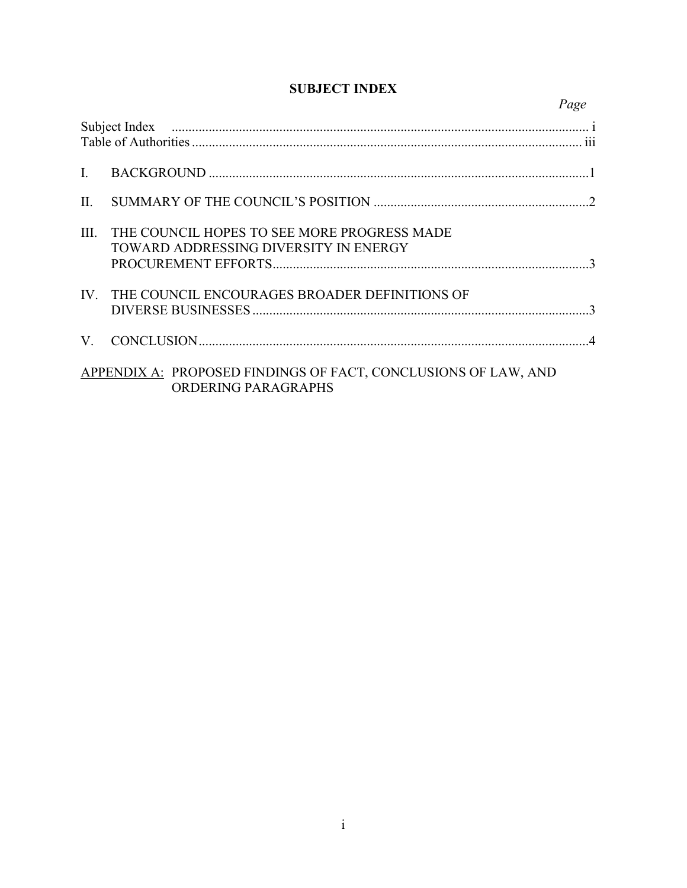| $\mathbf{L}$ |                                                                                       |  |
|--------------|---------------------------------------------------------------------------------------|--|
| $\Pi$ .      |                                                                                       |  |
| III.         | THE COUNCIL HOPES TO SEE MORE PROGRESS MADE<br>TOWARD ADDRESSING DIVERSITY IN ENERGY  |  |
| IV.          | THE COUNCIL ENCOURAGES BROADER DEFINITIONS OF                                         |  |
| V.           |                                                                                       |  |
|              | APPENDIX A: PROPOSED FINDINGS OF FACT, CONCLUSIONS OF LAW, AND<br>ORDERING PARAGRAPHS |  |

# **SUBJECT INDEX**

*Page*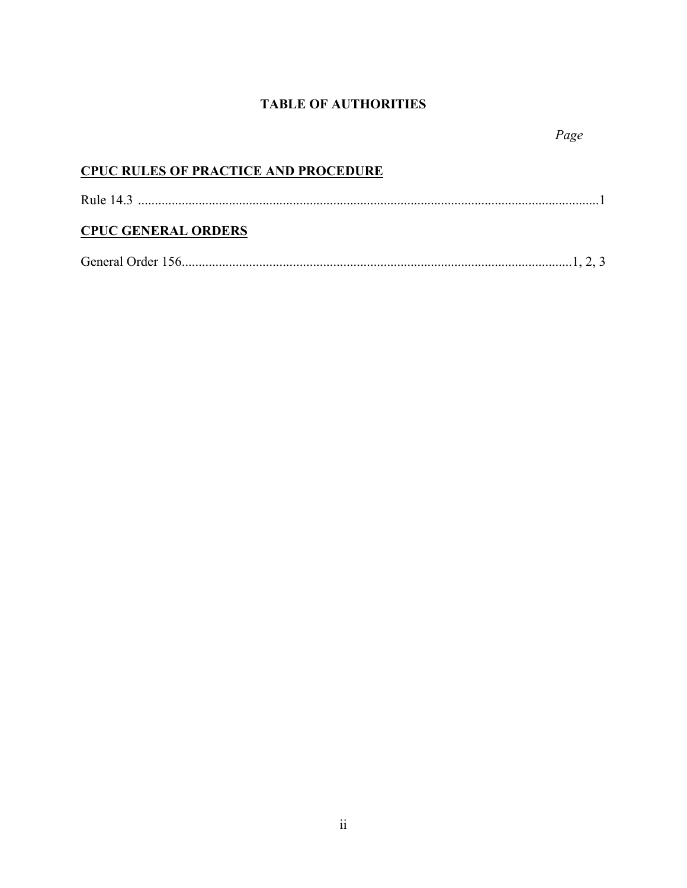# **TABLE OF AUTHORITIES**

| <b>CPUC RULES OF PRACTICE AND PROCEDURE</b> |  |
|---------------------------------------------|--|
|                                             |  |
| <b>CPUC GENERAL ORDERS</b>                  |  |
|                                             |  |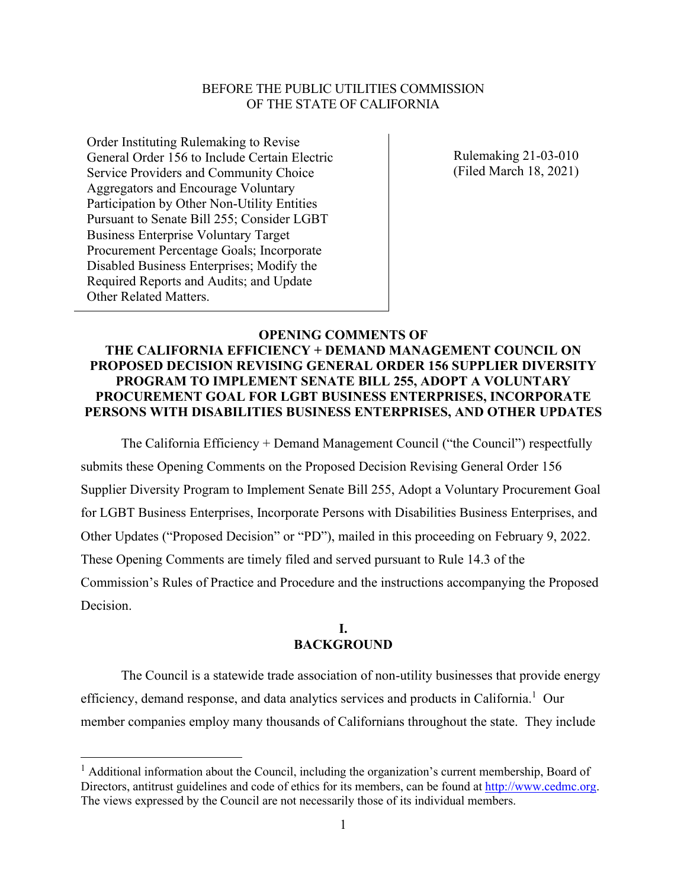#### BEFORE THE PUBLIC UTILITIES COMMISSION OF THE STATE OF CALIFORNIA

Order Instituting Rulemaking to Revise General Order 156 to Include Certain Electric Service Providers and Community Choice Aggregators and Encourage Voluntary Participation by Other Non-Utility Entities Pursuant to Senate Bill 255; Consider LGBT Business Enterprise Voluntary Target Procurement Percentage Goals; Incorporate Disabled Business Enterprises; Modify the Required Reports and Audits; and Update Other Related Matters.

Rulemaking 21-03-010 (Filed March 18, 2021)

#### **OPENING COMMENTS OF**

# **THE CALIFORNIA EFFICIENCY + DEMAND MANAGEMENT COUNCIL ON PROPOSED DECISION REVISING GENERAL ORDER 156 SUPPLIER DIVERSITY PROGRAM TO IMPLEMENT SENATE BILL 255, ADOPT A VOLUNTARY PROCUREMENT GOAL FOR LGBT BUSINESS ENTERPRISES, INCORPORATE PERSONS WITH DISABILITIES BUSINESS ENTERPRISES, AND OTHER UPDATES**

The California Efficiency + Demand Management Council ("the Council") respectfully submits these Opening Comments on the Proposed Decision Revising General Order 156 Supplier Diversity Program to Implement Senate Bill 255, Adopt a Voluntary Procurement Goal for LGBT Business Enterprises, Incorporate Persons with Disabilities Business Enterprises, and Other Updates ("Proposed Decision" or "PD"), mailed in this proceeding on February 9, 2022. These Opening Comments are timely filed and served pursuant to Rule 14.3 of the Commission's Rules of Practice and Procedure and the instructions accompanying the Proposed Decision.

# **I. BACKGROUND**

The Council is a statewide trade association of non-utility businesses that provide energy efficiency, demand response, and data analytics services and products in California.<sup>1</sup> Our member companies employ many thousands of Californians throughout the state. They include

<sup>&</sup>lt;sup>1</sup> Additional information about the Council, including the organization's current membership, Board of Directors, antitrust guidelines and code of ethics for its members, can be found at [http://www.cedmc.org.](about:blank) The views expressed by the Council are not necessarily those of its individual members.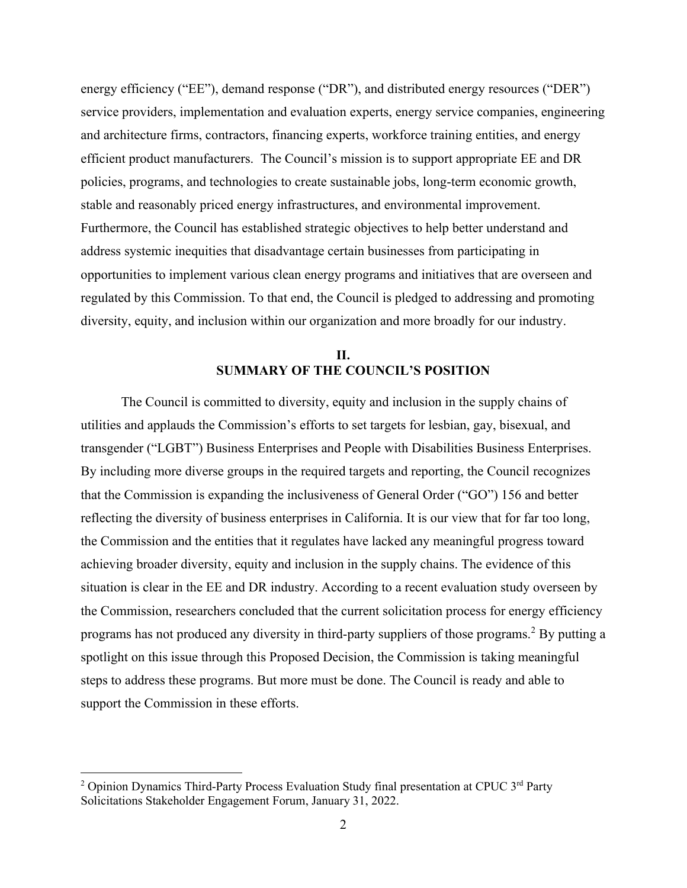energy efficiency ("EE"), demand response ("DR"), and distributed energy resources ("DER") service providers, implementation and evaluation experts, energy service companies, engineering and architecture firms, contractors, financing experts, workforce training entities, and energy efficient product manufacturers. The Council's mission is to support appropriate EE and DR policies, programs, and technologies to create sustainable jobs, long-term economic growth, stable and reasonably priced energy infrastructures, and environmental improvement. Furthermore, the Council has established strategic objectives to help better understand and address systemic inequities that disadvantage certain businesses from participating in opportunities to implement various clean energy programs and initiatives that are overseen and regulated by this Commission. To that end, the Council is pledged to addressing and promoting diversity, equity, and inclusion within our organization and more broadly for our industry.

# **II. SUMMARY OF THE COUNCIL'S POSITION**

The Council is committed to diversity, equity and inclusion in the supply chains of utilities and applauds the Commission's efforts to set targets for lesbian, gay, bisexual, and transgender ("LGBT") Business Enterprises and People with Disabilities Business Enterprises. By including more diverse groups in the required targets and reporting, the Council recognizes that the Commission is expanding the inclusiveness of General Order ("GO") 156 and better reflecting the diversity of business enterprises in California. It is our view that for far too long, the Commission and the entities that it regulates have lacked any meaningful progress toward achieving broader diversity, equity and inclusion in the supply chains. The evidence of this situation is clear in the EE and DR industry. According to a recent evaluation study overseen by the Commission, researchers concluded that the current solicitation process for energy efficiency programs has not produced any diversity in third-party suppliers of those programs.<sup>2</sup> By putting a spotlight on this issue through this Proposed Decision, the Commission is taking meaningful steps to address these programs. But more must be done. The Council is ready and able to support the Commission in these efforts.

<sup>&</sup>lt;sup>2</sup> Opinion Dynamics Third-Party Process Evaluation Study final presentation at CPUC  $3^{rd}$  Party Solicitations Stakeholder Engagement Forum, January 31, 2022.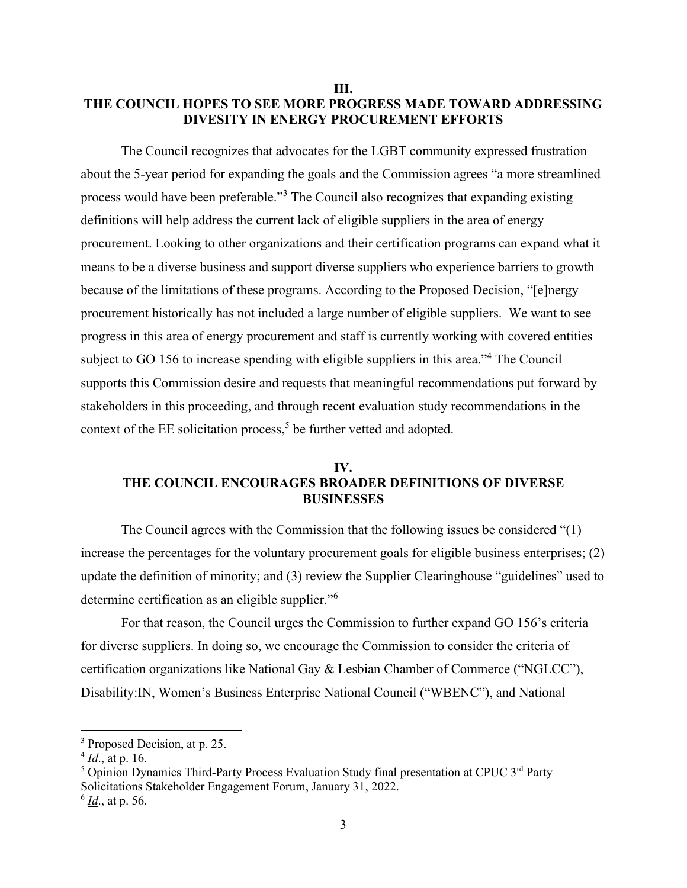#### **III. THE COUNCIL HOPES TO SEE MORE PROGRESS MADE TOWARD ADDRESSING DIVESITY IN ENERGY PROCUREMENT EFFORTS**

The Council recognizes that advocates for the LGBT community expressed frustration about the 5-year period for expanding the goals and the Commission agrees "a more streamlined process would have been preferable."<sup>3</sup> The Council also recognizes that expanding existing definitions will help address the current lack of eligible suppliers in the area of energy procurement. Looking to other organizations and their certification programs can expand what it means to be a diverse business and support diverse suppliers who experience barriers to growth because of the limitations of these programs. According to the Proposed Decision, "[e]nergy procurement historically has not included a large number of eligible suppliers. We want to see progress in this area of energy procurement and staff is currently working with covered entities subject to GO 156 to increase spending with eligible suppliers in this area."<sup>4</sup> The Council supports this Commission desire and requests that meaningful recommendations put forward by stakeholders in this proceeding, and through recent evaluation study recommendations in the context of the EE solicitation process, 5 be further vetted and adopted.

#### **IV. THE COUNCIL ENCOURAGES BROADER DEFINITIONS OF DIVERSE BUSINESSES**

The Council agrees with the Commission that the following issues be considered "(1) increase the percentages for the voluntary procurement goals for eligible business enterprises; (2) update the definition of minority; and (3) review the Supplier Clearinghouse "guidelines" used to determine certification as an eligible supplier."<sup>6</sup>

For that reason, the Council urges the Commission to further expand GO 156's criteria for diverse suppliers. In doing so, we encourage the Commission to consider the criteria of certification organizations like National Gay & Lesbian Chamber of Commerce ("NGLCC"), Disability:IN, Women's Business Enterprise National Council ("WBENC"), and National

3

<sup>&</sup>lt;sup>3</sup> Proposed Decision, at p. 25.

<sup>4</sup> *Id*., at p. 16.

<sup>&</sup>lt;sup>5</sup> Opinion Dynamics Third-Party Process Evaluation Study final presentation at CPUC 3<sup>rd</sup> Party Solicitations Stakeholder Engagement Forum, January 31, 2022. 6 *Id*., at p. 56.